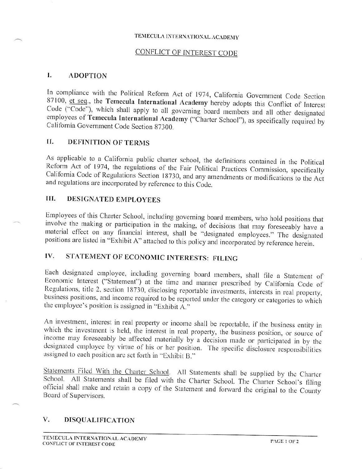## TEMECULA INTERNATIONAL ACADEMY

# **CONFLICT OF INTEREST CODE**

#### $\mathbf{I}$ . **ADOPTION**

In compliance with the Political Reform Act of 1974, California Government Code Section 87100, et seq., the Temecula International Academy hereby adopts this Conflict of Interest Code ("Code"), which shall apply to all governing board members and all other designated employees of Temecula International Academy ("Charter School"), as specifically required by California Government Code Section 87300.

### $II.$ **DEFINITION OF TERMS**

As applicable to a California public charter school, the definitions contained in the Political Reform Act of 1974, the regulations of the Fair Political Practices Commission, specifically California Code of Regulations Section 18730, and any amendments or modifications to the Act and regulations are incorporated by reference to this Code.

### **DESIGNATED EMPLOYEES** HI.

Employees of this Charter School, including governing board members, who hold positions that involve the making or participation in the making, of decisions that may foreseeably have a material effect on any financial interest, shall be "designated employees." The designated positions are listed in "Exhibit A" attached to this policy and incorporated by reference herein.

### $IV.$ STATEMENT OF ECONOMIC INTERESTS: FILING

Each designated employee, including governing board members, shall file a Statement of Economic Interest ("Statement") at the time and manner prescribed by California Code of Regulations, title 2, section 18730, disclosing reportable investments, interests in real property, business positions, and income required to be reported under the category or categories to which the employee's position is assigned in "Exhibit A."

An investment, interest in real property or income shall be reportable, if the business entity in which the investment is held, the interest in real property, the business position, or source of income may foreseeably be affected materially by a decision made or participated in by the designated employee by virtue of his or her position. The specific disclosure responsibilities assigned to each position are set forth in "Exhibit B."

Statements Filed With the Charter School. All Statements shall be supplied by the Charter School. All Statements shall be filed with the Charter School. The Charter School's filing official shall make and retain a copy of the Statement and forward the original to the County Board of Supervisors.

#### V. **DISQUALIFICATION**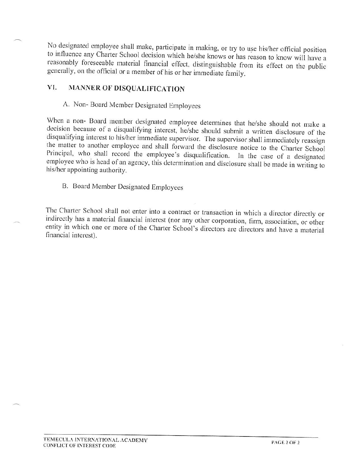No designated employee shall make, participate in making, or try to use his/her official position to influence any Charter School decision which he/she knows or has reason to know will have a reasonably foreseeable material financial effect, distinguishable from its effect on the public generally, on the official or a member of his or her immediate family.

### MANNER OF DISQUALIFICATION VI.

A. Non-Board Member Designated Employees

When a non- Board member designated employee determines that he/she should not make a decision because of a disqualifying interest, he/she should submit a written disclosure of the disqualifying interest to his/her immediate supervisor. The supervisor shall immediately reassign the matter to another employee and shall forward the disclosure notice to the Charter School Principal, who shall record the employee's disqualification. In the case of a designated employee who is head of an agency, this determination and disclosure shall be made in writing to his/her appointing authority.

# B. Board Member Designated Employees

The Charter School shall not enter into a contract or transaction in which a director directly or indirectly has a material financial interest (nor any other corporation, firm, association, or other entity in which one or more of the Charter School's directors are directors and have a material financial interest).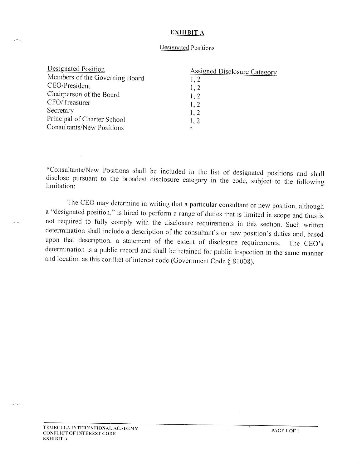## **EXHIBIT A**

## **Designated Positions**

| Designated Position            | Assigned Disclosure Category |
|--------------------------------|------------------------------|
| Members of the Governing Board | 1, 2                         |
| CEO/President                  | 1, 2                         |
| Chairperson of the Board       | 1, 2                         |
| CFO/Treasurer                  | 1, 2                         |
| Secretary                      | 1, 2                         |
| Principal of Charter School    | 1, 2                         |
| Consultants/New Positions      | $\ast$                       |

\*Consultants/New Positions shall be included in the list of designated positions and shall disclose pursuant to the broadest disclosure category in the code, subject to the following limitation:

The CEO may determine in writing that a particular consultant or new position, although a "designated position," is hired to perform a range of duties that is limited in scope and thus is not required to fully comply with the disclosure requirements in this section. Such written determination shall include a description of the consultant's or new position's duties and, based upon that description, a statement of the extent of disclosure requirements. The CEO's determination is a public record and shall be retained for public inspection in the same manner and location as this conflict of interest code (Government Code § 81008).

PAGE 1 OF 1